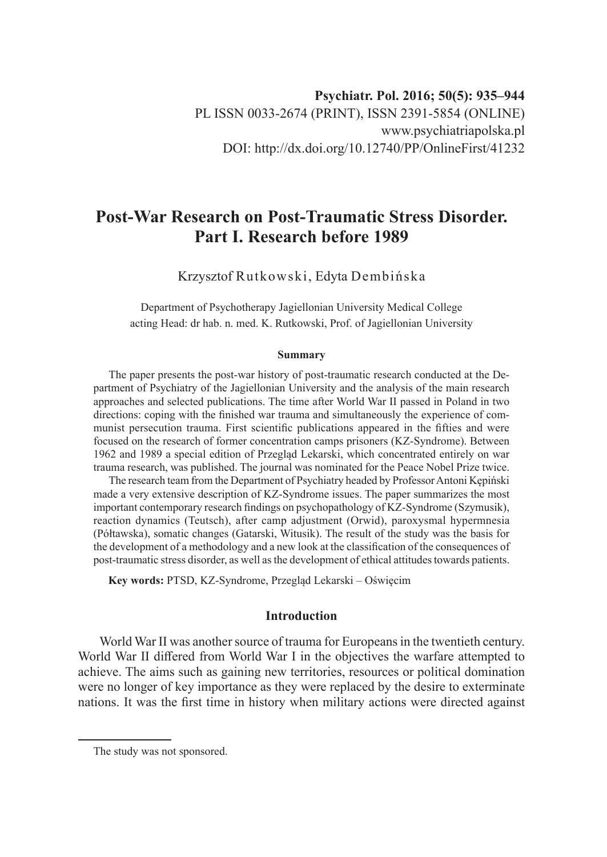# **Post-War Research on Post-Traumatic Stress Disorder. Part I. Research before 1989**

Krzysztof Rutkowski, Edyta Dembińska

Department of Psychotherapy Jagiellonian University Medical College acting Head: dr hab. n. med. K. Rutkowski, Prof. of Jagiellonian University

#### **Summary**

The paper presents the post-war history of post-traumatic research conducted at the Department of Psychiatry of the Jagiellonian University and the analysis of the main research approaches and selected publications. The time after World War II passed in Poland in two directions: coping with the finished war trauma and simultaneously the experience of communist persecution trauma. First scientific publications appeared in the fifties and were focused on the research of former concentration camps prisoners (KZ-Syndrome). Between 1962 and 1989 a special edition of Przegląd Lekarski, which concentrated entirely on war trauma research, was published. The journal was nominated for the Peace Nobel Prize twice.

The research team from the Department of Psychiatry headed by Professor Antoni Kępiński made a very extensive description of KZ-Syndrome issues. The paper summarizes the most important contemporary research findings on psychopathology of KZ-Syndrome (Szymusik), reaction dynamics (Teutsch), after camp adjustment (Orwid), paroxysmal hypermnesia (Półtawska), somatic changes (Gatarski, Witusik). The result of the study was the basis for the development of a methodology and a new look at the classification of the consequences of post-traumatic stress disorder, as well as the development of ethical attitudes towards patients.

**Key words:** PTSD, KZ-Syndrome, Przegląd Lekarski – Oświęcim

## **Introduction**

World War II was another source of trauma for Europeans in the twentieth century. World War II differed from World War I in the objectives the warfare attempted to achieve. The aims such as gaining new territories, resources or political domination were no longer of key importance as they were replaced by the desire to exterminate nations. It was the first time in history when military actions were directed against

The study was not sponsored.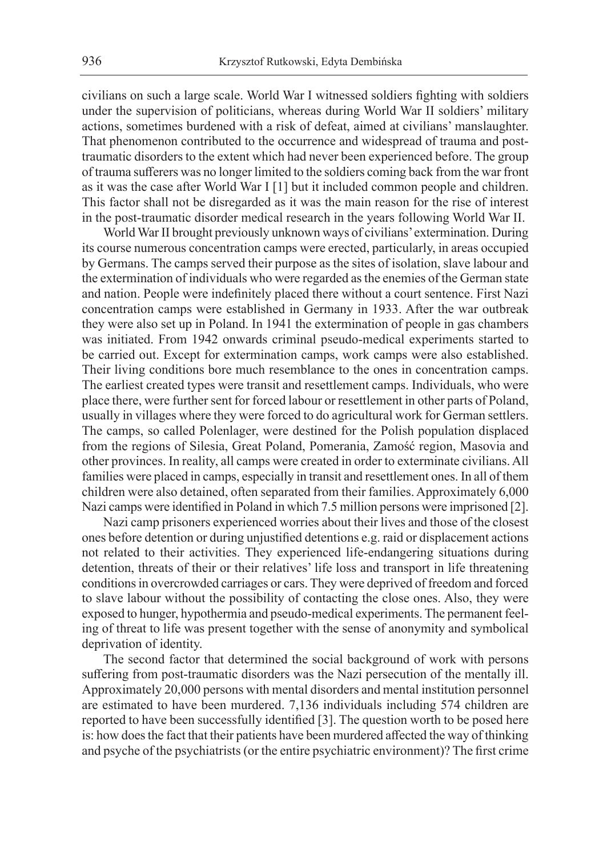civilians on such a large scale. World War I witnessed soldiers fighting with soldiers under the supervision of politicians, whereas during World War II soldiers' military actions, sometimes burdened with a risk of defeat, aimed at civilians' manslaughter. That phenomenon contributed to the occurrence and widespread of trauma and posttraumatic disorders to the extent which had never been experienced before. The group of trauma sufferers was no longer limited to the soldiers coming back from the war front as it was the case after World War I [1] but it included common people and children. This factor shall not be disregarded as it was the main reason for the rise of interest in the post-traumatic disorder medical research in the years following World War II.

World War II brought previously unknown ways of civilians' extermination. During its course numerous concentration camps were erected, particularly, in areas occupied by Germans. The camps served their purpose as the sites of isolation, slave labour and the extermination of individuals who were regarded as the enemies of the German state and nation. People were indefinitely placed there without a court sentence. First Nazi concentration camps were established in Germany in 1933. After the war outbreak they were also set up in Poland. In 1941 the extermination of people in gas chambers was initiated. From 1942 onwards criminal pseudo-medical experiments started to be carried out. Except for extermination camps, work camps were also established. Their living conditions bore much resemblance to the ones in concentration camps. The earliest created types were transit and resettlement camps. Individuals, who were place there, were further sent for forced labour or resettlement in other parts of Poland, usually in villages where they were forced to do agricultural work for German settlers. The camps, so called Polenlager, were destined for the Polish population displaced from the regions of Silesia, Great Poland, Pomerania, Zamość region, Masovia and other provinces. In reality, all camps were created in order to exterminate civilians. All families were placed in camps, especially in transit and resettlement ones. In all of them children were also detained, often separated from their families. Approximately 6,000 Nazi camps were identified in Poland in which 7.5 million persons were imprisoned [2].

Nazi camp prisoners experienced worries about their lives and those of the closest ones before detention or during unjustified detentions e.g. raid or displacement actions not related to their activities. They experienced life-endangering situations during detention, threats of their or their relatives' life loss and transport in life threatening conditions in overcrowded carriages or cars. They were deprived of freedom and forced to slave labour without the possibility of contacting the close ones. Also, they were exposed to hunger, hypothermia and pseudo-medical experiments. The permanent feeling of threat to life was present together with the sense of anonymity and symbolical deprivation of identity.

The second factor that determined the social background of work with persons suffering from post-traumatic disorders was the Nazi persecution of the mentally ill. Approximately 20,000 persons with mental disorders and mental institution personnel are estimated to have been murdered. 7,136 individuals including 574 children are reported to have been successfully identified [3]. The question worth to be posed here is: how does the fact that their patients have been murdered affected the way of thinking and psyche of the psychiatrists (or the entire psychiatric environment)? The first crime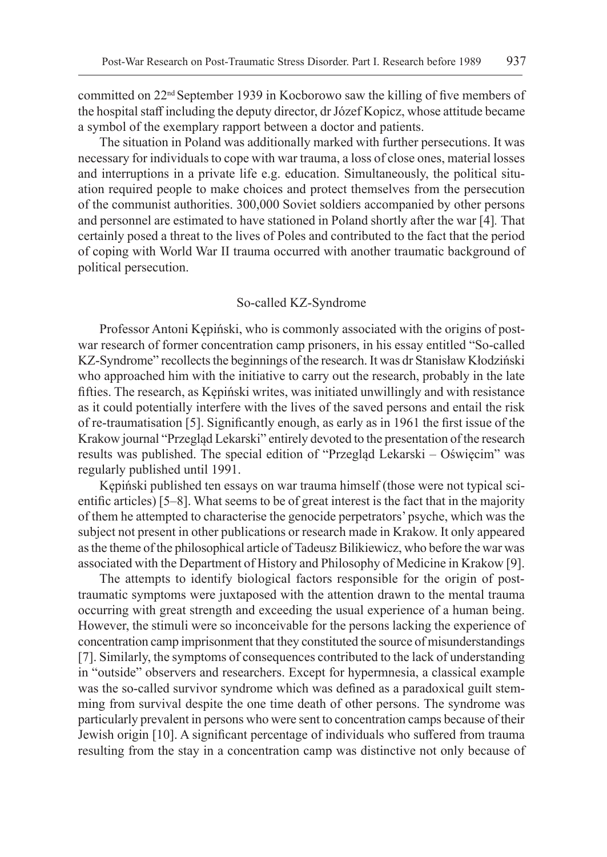committed on  $22<sup>nd</sup>$  September 1939 in Kocborowo saw the killing of five members of the hospital staff including the deputy director, dr Józef Kopicz, whose attitude became a symbol of the exemplary rapport between a doctor and patients.

The situation in Poland was additionally marked with further persecutions. It was necessary for individuals to cope with war trauma, a loss of close ones, material losses and interruptions in a private life e.g. education. Simultaneously, the political situation required people to make choices and protect themselves from the persecution of the communist authorities. 300,000 Soviet soldiers accompanied by other persons and personnel are estimated to have stationed in Poland shortly after the war [4]*.* That certainly posed a threat to the lives of Poles and contributed to the fact that the period of coping with World War II trauma occurred with another traumatic background of political persecution.

#### So-called KZ-Syndrome

Professor Antoni Kępiński, who is commonly associated with the origins of postwar research of former concentration camp prisoners, in his essay entitled "So-called KZ-Syndrome" recollects the beginnings of the research. It was dr Stanisław Kłodziński who approached him with the initiative to carry out the research, probably in the late fifties. The research, as Kępiński writes, was initiated unwillingly and with resistance as it could potentially interfere with the lives of the saved persons and entail the risk of re-traumatisation [5]. Significantly enough, as early as in 1961 the first issue of the Krakow journal "Przegląd Lekarski" entirely devoted to the presentation of the research results was published. The special edition of "Przegląd Lekarski – Oświęcim" was regularly published until 1991.

Kępiński published ten essays on war trauma himself (those were not typical scientific articles) [5–8]. What seems to be of great interest is the fact that in the majority of them he attempted to characterise the genocide perpetrators' psyche, which was the subject not present in other publications or research made in Krakow. It only appeared as the theme of the philosophical article of Tadeusz Bilikiewicz, who before the war was associated with the Department of History and Philosophy of Medicine in Krakow [9].

The attempts to identify biological factors responsible for the origin of posttraumatic symptoms were juxtaposed with the attention drawn to the mental trauma occurring with great strength and exceeding the usual experience of a human being. However, the stimuli were so inconceivable for the persons lacking the experience of concentration camp imprisonment that they constituted the source of misunderstandings [7]. Similarly, the symptoms of consequences contributed to the lack of understanding in "outside" observers and researchers. Except for hypermnesia, a classical example was the so-called survivor syndrome which was defined as a paradoxical guilt stemming from survival despite the one time death of other persons. The syndrome was particularly prevalent in persons who were sent to concentration camps because of their Jewish origin [10]. A significant percentage of individuals who suffered from trauma resulting from the stay in a concentration camp was distinctive not only because of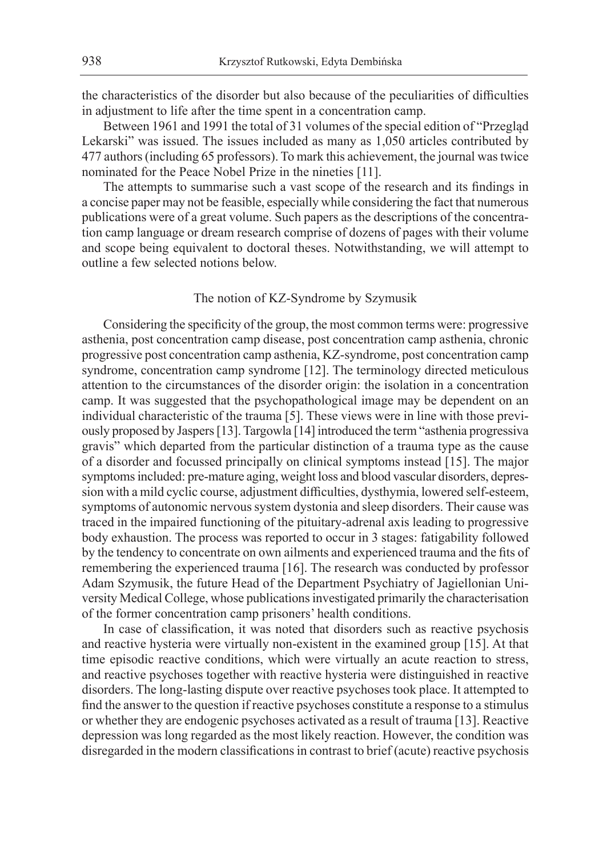the characteristics of the disorder but also because of the peculiarities of difficulties in adjustment to life after the time spent in a concentration camp.

Between 1961 and 1991 the total of 31 volumes of the special edition of "Przegląd Lekarski" was issued. The issues included as many as 1,050 articles contributed by 477 authors (including 65 professors). To mark this achievement, the journal was twice nominated for the Peace Nobel Prize in the nineties [11].

The attempts to summarise such a vast scope of the research and its findings in a concise paper may not be feasible, especially while considering the fact that numerous publications were of a great volume. Such papers as the descriptions of the concentration camp language or dream research comprise of dozens of pages with their volume and scope being equivalent to doctoral theses. Notwithstanding, we will attempt to outline a few selected notions below.

## The notion of KZ-Syndrome by Szymusik

Considering the specificity of the group, the most common terms were: progressive asthenia, post concentration camp disease, post concentration camp asthenia, chronic progressive post concentration camp asthenia, KZ-syndrome, post concentration camp syndrome, concentration camp syndrome [12]. The terminology directed meticulous attention to the circumstances of the disorder origin: the isolation in a concentration camp. It was suggested that the psychopathological image may be dependent on an individual characteristic of the trauma [5]. These views were in line with those previously proposed by Jaspers [13]. Targowla [14] introduced the term "asthenia progressiva gravis" which departed from the particular distinction of a trauma type as the cause of a disorder and focussed principally on clinical symptoms instead [15]. The major symptoms included: pre-mature aging, weight loss and blood vascular disorders, depression with a mild cyclic course, adjustment difficulties, dysthymia, lowered self-esteem, symptoms of autonomic nervous system dystonia and sleep disorders. Their cause was traced in the impaired functioning of the pituitary-adrenal axis leading to progressive body exhaustion. The process was reported to occur in 3 stages: fatigability followed by the tendency to concentrate on own ailments and experienced trauma and the fits of remembering the experienced trauma [16]. The research was conducted by professor Adam Szymusik, the future Head of the Department Psychiatry of Jagiellonian University Medical College, whose publications investigated primarily the characterisation of the former concentration camp prisoners' health conditions.

In case of classification, it was noted that disorders such as reactive psychosis and reactive hysteria were virtually non-existent in the examined group [15]. At that time episodic reactive conditions, which were virtually an acute reaction to stress, and reactive psychoses together with reactive hysteria were distinguished in reactive disorders. The long-lasting dispute over reactive psychoses took place. It attempted to find the answer to the question if reactive psychoses constitute a response to a stimulus or whether they are endogenic psychoses activated as a result of trauma [13]. Reactive depression was long regarded as the most likely reaction. However, the condition was disregarded in the modern classifications in contrast to brief (acute) reactive psychosis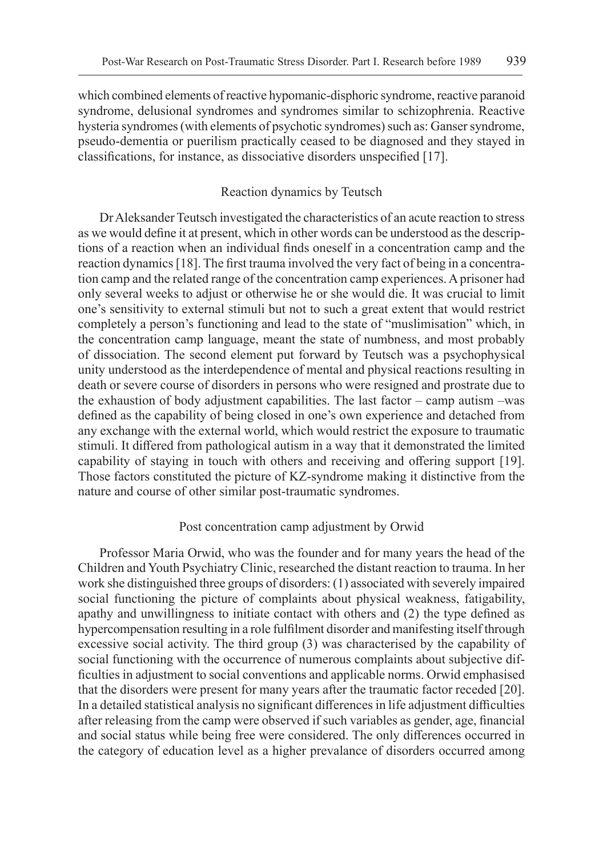which combined elements of reactive hypomanic-disphoric syndrome, reactive paranoid syndrome, delusional syndromes and syndromes similar to schizophrenia. Reactive hysteria syndromes (with elements of psychotic syndromes) such as: Ganser syndrome, pseudo-dementia or puerilism practically ceased to be diagnosed and they stayed in classifications, for instance, as dissociative disorders unspecified [17].

#### Reaction dynamics by Teutsch

Dr Aleksander Teutsch investigated the characteristics of an acute reaction to stress as we would define it at present, which in other words can be understood as the descriptions of a reaction when an individual finds oneself in a concentration camp and the reaction dynamics [18]. The first trauma involved the very fact of being in a concentration camp and the related range of the concentration camp experiences. A prisoner had only several weeks to adjust or otherwise he or she would die. It was crucial to limit one's sensitivity to external stimuli but not to such a great extent that would restrict completely a person's functioning and lead to the state of "muslimisation" which, in the concentration camp language, meant the state of numbness, and most probably of dissociation. The second element put forward by Teutsch was a psychophysical unity understood as the interdependence of mental and physical reactions resulting in death or severe course of disorders in persons who were resigned and prostrate due to the exhaustion of body adjustment capabilities. The last factor – camp autism –was defined as the capability of being closed in one's own experience and detached from any exchange with the external world, which would restrict the exposure to traumatic stimuli. It differed from pathological autism in a way that it demonstrated the limited capability of staying in touch with others and receiving and offering support [19]. Those factors constituted the picture of KZ-syndrome making it distinctive from the nature and course of other similar post-traumatic syndromes.

#### Post concentration camp adjustment by Orwid

Professor Maria Orwid, who was the founder and for many years the head of the Children and Youth Psychiatry Clinic, researched the distant reaction to trauma. In her work she distinguished three groups of disorders: (1) associated with severely impaired social functioning the picture of complaints about physical weakness, fatigability, apathy and unwillingness to initiate contact with others and (2) the type defined as hypercompensation resulting in a role fulfilment disorder and manifesting itself through excessive social activity. The third group (3) was characterised by the capability of social functioning with the occurrence of numerous complaints about subjective difficulties in adjustment to social conventions and applicable norms. Orwid emphasised that the disorders were present for many years after the traumatic factor receded [20]. In a detailed statistical analysis no significant differences in life adjustment difficulties after releasing from the camp were observed if such variables as gender, age, financial and social status while being free were considered. The only differences occurred in the category of education level as a higher prevalance of disorders occurred among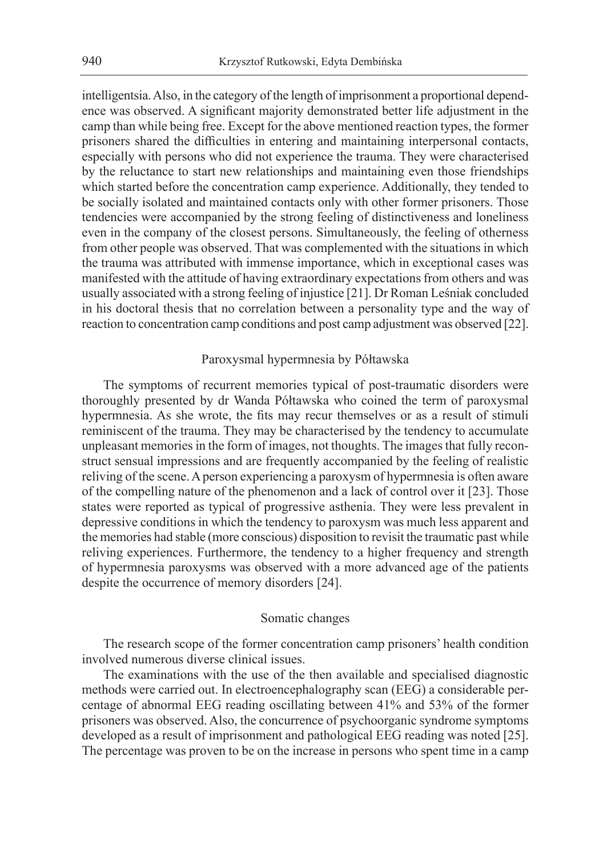intelligentsia. Also, in the category of the length of imprisonment a proportional dependence was observed. A significant majority demonstrated better life adjustment in the camp than while being free. Except for the above mentioned reaction types, the former prisoners shared the difficulties in entering and maintaining interpersonal contacts, especially with persons who did not experience the trauma. They were characterised by the reluctance to start new relationships and maintaining even those friendships which started before the concentration camp experience. Additionally, they tended to be socially isolated and maintained contacts only with other former prisoners. Those tendencies were accompanied by the strong feeling of distinctiveness and loneliness even in the company of the closest persons. Simultaneously, the feeling of otherness from other people was observed. That was complemented with the situations in which the trauma was attributed with immense importance, which in exceptional cases was manifested with the attitude of having extraordinary expectations from others and was usually associated with a strong feeling of injustice [21]. Dr Roman Leśniak concluded in his doctoral thesis that no correlation between a personality type and the way of reaction to concentration camp conditions and post camp adjustment was observed [22].

#### Paroxysmal hypermnesia by Półtawska

The symptoms of recurrent memories typical of post-traumatic disorders were thoroughly presented by dr Wanda Półtawska who coined the term of paroxysmal hypermnesia. As she wrote, the fits may recur themselves or as a result of stimuli reminiscent of the trauma. They may be characterised by the tendency to accumulate unpleasant memories in the form of images, not thoughts. The images that fully reconstruct sensual impressions and are frequently accompanied by the feeling of realistic reliving of the scene. A person experiencing a paroxysm of hypermnesia is often aware of the compelling nature of the phenomenon and a lack of control over it [23]. Those states were reported as typical of progressive asthenia. They were less prevalent in depressive conditions in which the tendency to paroxysm was much less apparent and the memories had stable (more conscious) disposition to revisit the traumatic past while reliving experiences. Furthermore, the tendency to a higher frequency and strength of hypermnesia paroxysms was observed with a more advanced age of the patients despite the occurrence of memory disorders [24].

#### Somatic changes

The research scope of the former concentration camp prisoners' health condition involved numerous diverse clinical issues.

The examinations with the use of the then available and specialised diagnostic methods were carried out. In electroencephalography scan (EEG) a considerable percentage of abnormal EEG reading oscillating between 41% and 53% of the former prisoners was observed. Also, the concurrence of psychoorganic syndrome symptoms developed as a result of imprisonment and pathological EEG reading was noted [25]. The percentage was proven to be on the increase in persons who spent time in a camp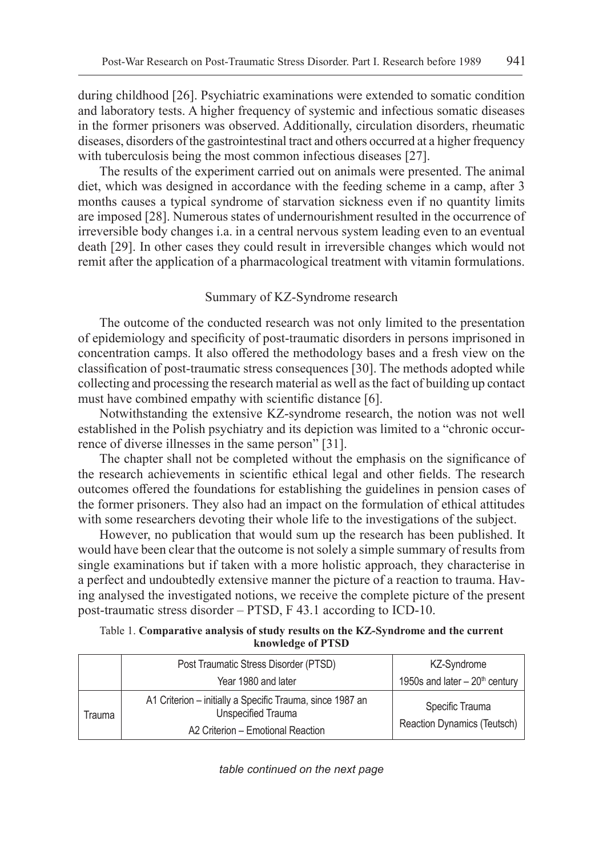during childhood [26]. Psychiatric examinations were extended to somatic condition and laboratory tests. A higher frequency of systemic and infectious somatic diseases in the former prisoners was observed. Additionally, circulation disorders, rheumatic diseases, disorders of the gastrointestinal tract and others occurred at a higher frequency with tuberculosis being the most common infectious diseases [27].

The results of the experiment carried out on animals were presented. The animal diet, which was designed in accordance with the feeding scheme in a camp, after 3 months causes a typical syndrome of starvation sickness even if no quantity limits are imposed [28]. Numerous states of undernourishment resulted in the occurrence of irreversible body changes i.a. in a central nervous system leading even to an eventual death [29]. In other cases they could result in irreversible changes which would not remit after the application of a pharmacological treatment with vitamin formulations.

### Summary of KZ-Syndrome research

The outcome of the conducted research was not only limited to the presentation of epidemiology and specificity of post-traumatic disorders in persons imprisoned in concentration camps. It also offered the methodology bases and a fresh view on the classification of post-traumatic stress consequences [30]. The methods adopted while collecting and processing the research material as well as the fact of building up contact must have combined empathy with scientific distance [6].

Notwithstanding the extensive KZ-syndrome research, the notion was not well established in the Polish psychiatry and its depiction was limited to a "chronic occurrence of diverse illnesses in the same person" [31].

The chapter shall not be completed without the emphasis on the significance of the research achievements in scientific ethical legal and other fields. The research outcomes offered the foundations for establishing the guidelines in pension cases of the former prisoners. They also had an impact on the formulation of ethical attitudes with some researchers devoting their whole life to the investigations of the subject.

However, no publication that would sum up the research has been published. It would have been clear that the outcome is not solely a simple summary of results from single examinations but if taken with a more holistic approach, they characterise in a perfect and undoubtedly extensive manner the picture of a reaction to trauma. Having analysed the investigated notions, we receive the complete picture of the present post-traumatic stress disorder – PTSD, F 43.1 according to ICD-10.

Table 1. **Comparative analysis of study results on the KZ-Syndrome and the current knowledge of PTSD**

|        | Post Traumatic Stress Disorder (PTSD)                                                                                | KZ-Syndrome                                    |
|--------|----------------------------------------------------------------------------------------------------------------------|------------------------------------------------|
|        | Year 1980 and later                                                                                                  | 1950s and later $-20$ <sup>th</sup> century    |
| Trauma | A1 Criterion - initially a Specific Trauma, since 1987 an<br>Unspecified Trauma<br>A2 Criterion - Emotional Reaction | Specific Trauma<br>Reaction Dynamics (Teutsch) |

*table continued on the next page*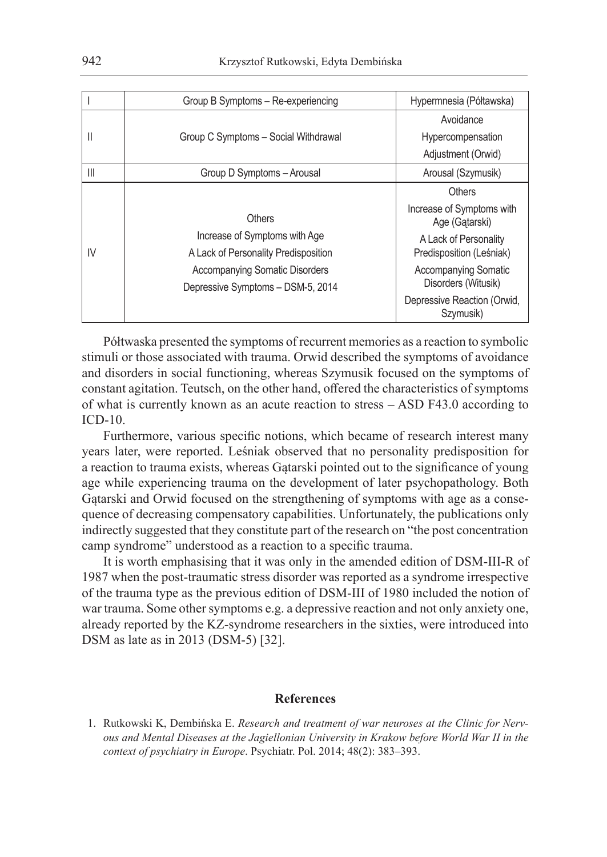|                | Group B Symptoms - Re-experiencing                                                                                                                            | Hypermnesia (Półtawska)                            |
|----------------|---------------------------------------------------------------------------------------------------------------------------------------------------------------|----------------------------------------------------|
| Ш              | Group C Symptoms - Social Withdrawal                                                                                                                          | Avoidance                                          |
|                |                                                                                                                                                               | Hypercompensation                                  |
|                |                                                                                                                                                               | Adjustment (Orwid)                                 |
| $\mathsf{III}$ | Group D Symptoms - Arousal                                                                                                                                    | Arousal (Szymusik)                                 |
| IV             | Others<br>Increase of Symptoms with Age<br>A Lack of Personality Predisposition<br><b>Accompanying Somatic Disorders</b><br>Depressive Symptoms - DSM-5, 2014 | <b>Others</b>                                      |
|                |                                                                                                                                                               | Increase of Symptoms with<br>Age (Gatarski)        |
|                |                                                                                                                                                               | A Lack of Personality<br>Predisposition (Leśniak)  |
|                |                                                                                                                                                               | <b>Accompanying Somatic</b><br>Disorders (Witusik) |
|                |                                                                                                                                                               | Depressive Reaction (Orwid,<br>Szymusik)           |

Półtwaska presented the symptoms of recurrent memories as a reaction to symbolic stimuli or those associated with trauma. Orwid described the symptoms of avoidance and disorders in social functioning, whereas Szymusik focused on the symptoms of constant agitation. Teutsch, on the other hand, offered the characteristics of symptoms of what is currently known as an acute reaction to stress – ASD F43.0 according to ICD-10.

Furthermore, various specific notions, which became of research interest many years later, were reported. Leśniak observed that no personality predisposition for a reaction to trauma exists, whereas Gątarski pointed out to the significance of young age while experiencing trauma on the development of later psychopathology. Both Gątarski and Orwid focused on the strengthening of symptoms with age as a consequence of decreasing compensatory capabilities. Unfortunately, the publications only indirectly suggested that they constitute part of the research on "the post concentration camp syndrome" understood as a reaction to a specific trauma.

It is worth emphasising that it was only in the amended edition of DSM-III-R of 1987 when the post-traumatic stress disorder was reported as a syndrome irrespective of the trauma type as the previous edition of DSM-III of 1980 included the notion of war trauma. Some other symptoms e.g. a depressive reaction and not only anxiety one, already reported by the KZ-syndrome researchers in the sixties, were introduced into DSM as late as in 2013 (DSM-5) [32].

#### **References**

<sup>1.</sup> Rutkowski K, Dembińska E. *Research and treatment of war neuroses at the Clinic for Nervous and Mental Diseases at the Jagiellonian University in Krakow before World War II in the context of psychiatry in Europe*. Psychiatr. Pol. 2014; 48(2): 383–393.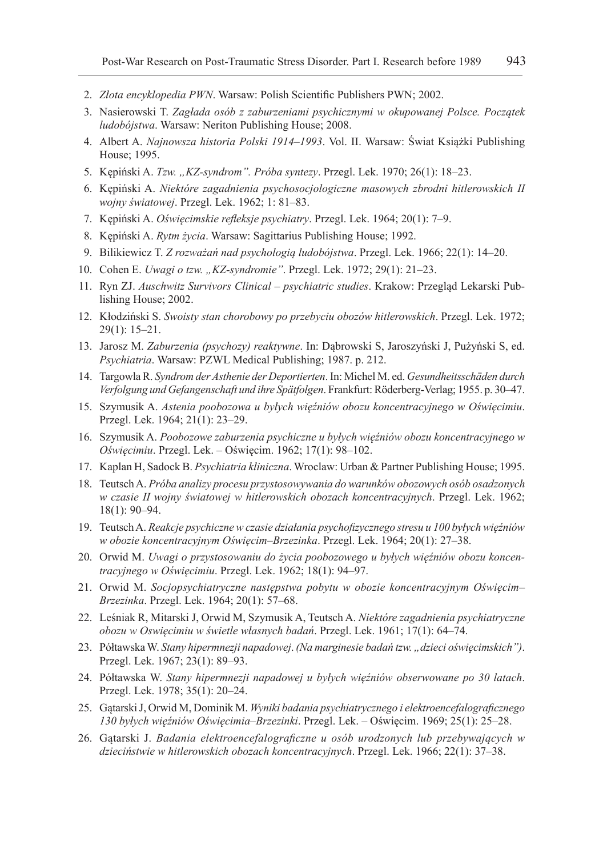- 2. *Złota encyklopedia PWN*. Warsaw: Polish Scientific Publishers PWN; 2002.
- 3. Nasierowski T. *Zagłada osób z zaburzeniami psychicznymi w okupowanej Polsce. Początek ludobójstwa*. Warsaw: Neriton Publishing House; 2008.
- 4. Albert A. *Najnowsza historia Polski 1914–1993*. Vol. II. Warsaw: Świat Książki Publishing House; 1995.
- 5. Kępiński A. *Tzw. "KZ-syndrom". Próba syntezy*. Przegl. Lek. 1970; 26(1): 18*–*23.
- 6. Kępiński A. *Niektóre zagadnienia psychosocjologiczne masowych zbrodni hitlerowskich II wojny światowej*. Przegl. Lek. 1962; 1: 81–83.
- 7. Kępiński A. *Oświęcimskie refleksje psychiatry*. Przegl. Lek. 1964; 20(1): 7–9.
- 8. Kępiński A. *Rytm życia*. Warsaw: Sagittarius Publishing House; 1992.
- 9. Bilikiewicz T. *Z rozważań nad psychologią ludobójstwa*. Przegl. Lek. 1966; 22(1): 14–20.
- 10. Cohen E. *Uwagi o tzw. "KZ-syndromie"*. Przegl. Lek. 1972; 29(1): 21–23.
- 11. Ryn ZJ. *Auschwitz Survivors Clinical psychiatric studies*. Krakow: Przegląd Lekarski Publishing House; 2002.
- 12. Kłodziński S. *Swoisty stan chorobowy po przebyciu obozów hitlerowskich*. Przegl. Lek. 1972; 29(1): 15–21.
- 13. Jarosz M. *Zaburzenia (psychozy) reaktywne*. In: Dąbrowski S, Jaroszyński J, Pużyński S, ed. *Psychiatria*. Warsaw: PZWL Medical Publishing; 1987. p. 212.
- 14. Targowla R. *Syndrom der Asthenie der Deportierten*. In: Michel M. ed. *Gesundheitsschäden durch Verfolgung und Gefangenschaft und ihre Spätfolgen*. Frankfurt: Röderberg-Verlag; 1955. p. 30–47.
- 15. Szymusik A. *Astenia poobozowa u byłych więźniów obozu koncentracyjnego w Oświęcimiu*. Przegl. Lek. 1964; 21(1): 23–29.
- 16. Szymusik A. *Poobozowe zaburzenia psychiczne u byłych więźniów obozu koncentracyjnego w Oświęcimiu*. Przegl. Lek. – Oświęcim. 1962; 17(1): 98–102.
- 17. Kaplan H, Sadock B. *Psychiatria kliniczna*. Wroclaw: Urban & Partner Publishing House; 1995.
- 18. Teutsch A. *Próba analizy procesu przystosowywania do warunków obozowych osób osadzonych w czasie II wojny światowej w hitlerowskich obozach koncentracyjnych*. Przegl. Lek. 1962; 18(1): 90–94.
- 19. Teutsch A. *Reakcje psychiczne w czasie działania psychofizycznego stresu u 100 byłych więźniów w obozie koncentracyjnym Oświęcim–Brzezinka*. Przegl. Lek. 1964; 20(1): 27–38.
- 20. Orwid M. *Uwagi o przystosowaniu do życia poobozowego u byłych więźniów obozu koncentracyjnego w Oświęcimiu*. Przegl. Lek. 1962; 18(1): 94–97.
- 21. Orwid M. *Socjopsychiatryczne następstwa pobytu w obozie koncentracyjnym Oświęcim Brzezinka*. Przegl. Lek. 1964; 20(1): 57–68.
- 22. Leśniak R, Mitarski J, Orwid M, Szymusik A, Teutsch A. *Niektóre zagadnienia psychiatryczne obozu w Oswięcimiu w świetle własnych badań*. Przegl. Lek. 1961; 17(1): 64–74.
- 23. Półtawska W. *Stany hipermnezji napadowej*. *(Na marginesie badań tzw. "dzieci oświęcimskich")*. Przegl. Lek. 1967; 23(1): 89–93.
- 24. Półtawska W. *Stany hipermnezji napadowej u byłych więźniów obserwowane po 30 latach*. Przegl. Lek. 1978; 35(1): 20–24.
- 25. Gątarski J, Orwid M, Dominik M. *Wyniki badania psychiatrycznego i elektroencefalograficznego 130 byłych więźniów Oświęcimia*–*Brzezinki*. Przegl. Lek. – Oświęcim. 1969; 25(1): 25–28.
- 26. Gątarski J. *Badania elektroencefalograficzne u osób urodzonych lub przebywających w dzieciństwie w hitlerowskich obozach koncentracyjnych*. Przegl. Lek. 1966; 22(1): 37–38.